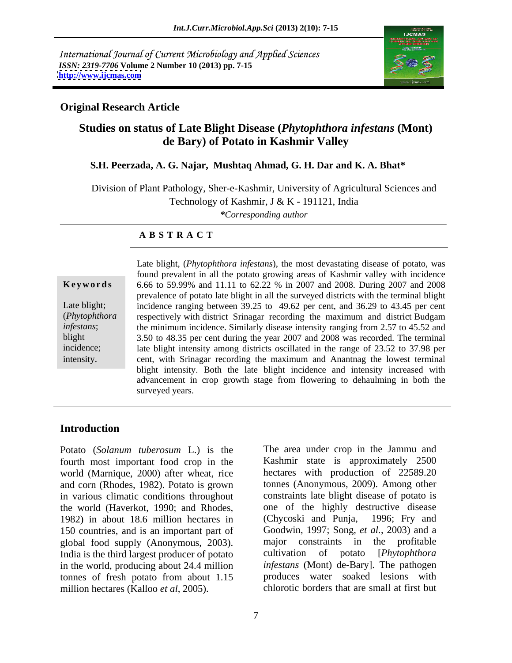International Journal of Current Microbiology and Applied Sciences *ISSN: 2319-7706* **Volume 2 Number 10 (2013) pp. 7-15 <http://www.ijcmas.com>**



## **Original Research Article**

# **Studies on status of Late Blight Disease (***Phytophthora infestans* **(Mont) de Bary) of Potato in Kashmir Valley**

### **S.H. Peerzada, A. G. Najar, Mushtaq Ahmad, G. H. Dar and K. A. Bhat\***

Division of Plant Pathology, Sher-e-Kashmir, University of Agricultural Sciences and

Technology of Kashmir, J & K - 191121, India

*\*Corresponding author* 

### **A B S T R A C T**

**Ke ywo rds** 6.66 to 59.99% and 11.11 to 62.22 % in 2007 and 2008. During 2007 and 2008 Late blight; incidence ranging between 39.25 to 49.62 per cent, and 36.29 to 43.45 per cent (*Phytophthora*  respectively with district Srinagar recording the maximum and district Budgam *infestans*; the minimum incidence. Similarly disease intensity ranging from 2.57 to 45.52 and blight 3.50 to 48.35 per cent during the year 2007 and 2008 was recorded. The terminal incidence; late blight intensity among districts oscillated in the range of 23.52 to 37.98 per Late blight, (*Phytophthora infestans*), the most devastating disease of potato, was<br>found prevalent in all the potato growing areas of Kashmir valley with incidence<br>6.66 to 59.99% and 11.11 to 62.22 % in 2007 and 2008. found prevalent in all the potato growing areas of Kashmir valley with incidence prevalence of potato late blight in all the surveyed districts with the terminal blight cent, with Srinagar recording the maximum and Anantnag the lowest terminal blight intensity. Both the late blight incidence and intensity increased with advancement in crop growth stage from flowering to dehaulming in both the surveyed years.

# **Introduction**

Potato (*Solanum tuberosum* L.) is the The area under crop in the Jammu and fourth most important food crop in the world (Marnique, 2000) after wheat, rice and corn (Rhodes, 1982). Potato is grown in various climatic conditions throughout the world (Haverkot, 1990; and Rhodes, 1982) in about 18.6 million hectares in 150 countries, and is an important part of global food supply (Anonymous, 2003). India is the third largest producer of potato cultivation of potato [*Phytophthora*] in the world, producing about 24.4 million tonnes of fresh potato from about 1.15 million hectares (Kalloo *et al*, 2005).

Kashmir state is approximately 2500 hectares with production of 22589.20 tonnes (Anonymous, 2009). Among other constraints late blight disease of potato is one of the highly destructive disease (Chycoski and Punja, 1996; Fry and Goodwin, 1997; Song, *et al.*, 2003) and a major constraints in the profitable cultivation of potato [*Phytophthora infestans* (Mont) de-Bary]. The pathogen produces water soaked lesions with chlorotic borders that are small at first but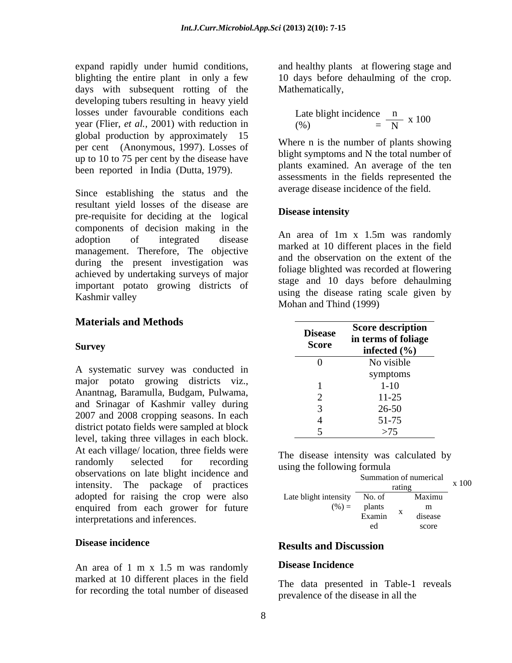expand rapidly under humid conditions, and healthy plants at flowering stage and blighting the entire plant in only a few 10 days before dehaulming of the crop. days with subsequent rotting of the developing tubers resulting in heavy yield losses under favourable conditions each year (Flier, *et al.,* 2001) with reduction in global production by approximately 15 per cent (Anonymous, 1997). Losses of up to 10 to 75 per cent by the disease have been reported in India (Dutta, 1979).

Since establishing the status and the resultant yield losses of the disease are<br>non-negativity for deciding at the locial **Disease intensity** pre-requisite for deciding at the logical components of decision making in the<br>edention of integrated disease. An area of 1m x 1.5m was randomly adoption of integrated disease  $\overrightarrow{AB}$  area of  $\overrightarrow{AB}$  and  $\overrightarrow{AB}$  and  $\overrightarrow{AB}$  and  $\overrightarrow{AB}$  and  $\overrightarrow{AB}$  and  $\overrightarrow{AB}$  and  $\overrightarrow{AB}$  and  $\overrightarrow{AB}$  and  $\overrightarrow{AB}$  and  $\overrightarrow{AB}$  and  $\overrightarrow{AB}$  and  $\overrightarrow{AB}$  and  $\overrightarrow{AB}$  and  $\overrightarrow$ management. Therefore, The objective during the present investigation was achieved by undertaking surveys of major important potato growing districts of mportant points growing districts of using the disease rating scale given by Kashmir valley

# **Materials and Methods**

A systematic survey was conducted in major potato growing districts viz., Anantnag, Baramulla, Budgam, Pulwama, and Srinagar of Kashmir valley during 2007 and 2008 cropping seasons. In each district potato fields were sampled at block level, taking three villages in each block. At each village/ location, three fields were randomly selected for recording the disease meaning was calculated by observations on late blight incidence and intensity. The package of practices adopted for raising the crop were also enquired from each grower for future interpretations and inferences.

An area of 1 m x 1.5 m was randomly **Disease incidence** marked at 10 different places in the field for recording the total number of diseased

Mathematically,

Date bright incidence 
$$
\frac{n}{N}
$$
 x 100

\n(%)

Where n is the number of plants showing blight symptoms and N the total number of plants examined. An average of the ten assessments in the fields represented the average disease incidence of the field.

**Disease intensity** An area of 1m <sup>x</sup> 1.5m was randomly marked at 10 different places in the field and the observation on the extent of the foliage blighted was recorded at flowering stage and 10 days before dehaulming Mohan and Thind (1999)

| Materials and Methods                                                                                                                                                                                                                                                                   | <b>Disease</b> | <b>Score description</b> |
|-----------------------------------------------------------------------------------------------------------------------------------------------------------------------------------------------------------------------------------------------------------------------------------------|----------------|--------------------------|
|                                                                                                                                                                                                                                                                                         | <b>Score</b>   | in terms of foliage      |
| Survey                                                                                                                                                                                                                                                                                  |                | infected $(\% )$         |
|                                                                                                                                                                                                                                                                                         |                | No visible               |
| A systematic survey was conducted in                                                                                                                                                                                                                                                    |                | symptoms                 |
| major potato growing districts viz.,                                                                                                                                                                                                                                                    |                | 1-10                     |
| Anantnag, Baramulla, Budgam, Pulwama,                                                                                                                                                                                                                                                   |                | $11-25$                  |
| and Srinagar of Kashmir valley during                                                                                                                                                                                                                                                   |                | $26 - 50$                |
| 2007 and 2008 cropping seasons. In each                                                                                                                                                                                                                                                 |                | 51-75                    |
| district potato fields were sampled at block                                                                                                                                                                                                                                            |                | >75                      |
| $\mathbf{r}$ , and the set of the set of the set of the set of the set of the set of the set of the set of the set of the set of the set of the set of the set of the set of the set of the set of the set of the set of the set<br>$\mathbf{1}$ $\mathbf{1}$ $\mathbf{1}$ $\mathbf{1}$ |                |                          |

| The disease<br>intensity was calculated<br>$\mathbf{h}$<br>. IJV |  |  |  |
|------------------------------------------------------------------|--|--|--|
| using the following formula                                      |  |  |  |

| mmation of numerical                                |  |  |
|-----------------------------------------------------|--|--|
| x100<br>1 aune                                      |  |  |
| Late blight intensity $\overline{No. of}$<br>Maximu |  |  |
| the company of the company of<br>$(\%) =$<br>plants |  |  |
| Examin<br>uiseas.                                   |  |  |
| $\qquad \qquad \cdots \qquad \qquad \cdots$         |  |  |

### **Disease incidence and incremental incremental contract Results and Discussion Results and Discussion**

### **Disease Incidence**

The data presented in Table-1 reveals prevalence of the disease in all the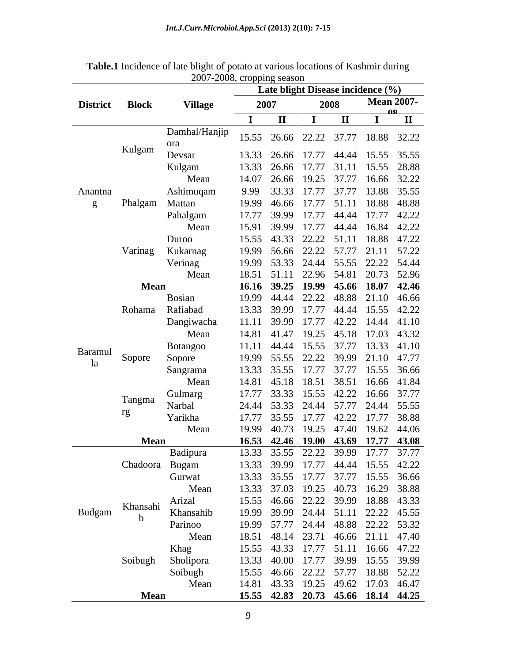|         |                |                          |                            |      | Late blight Disease incidence (%)                                          |
|---------|----------------|--------------------------|----------------------------|------|----------------------------------------------------------------------------|
|         | District Block | <b>Village</b>           | 2007                       | 2008 | <b>Mean 2007-</b>                                                          |
|         |                |                          | $\mathbf{I}$ $\mathbf{II}$ |      | $\Omega$<br>$\mathbf{H}$                                                   |
|         |                | Damhal/Hanjip            |                            |      |                                                                            |
|         |                | ora                      |                            |      | 15.55  26.66  22.22  37.77  18.88  32.22                                   |
|         | Kulgam         | Devsar                   |                            |      | 13.33  26.66  17.77  44.44  15.55  35.55                                   |
|         |                | Kulgam                   |                            |      | 13.33  26.66  17.77  31.11  15.55  28.88                                   |
|         |                | Mean                     |                            |      | 14.07 26.66 19.25 37.77 16.66 32.22                                        |
| Anantna |                | Ashimuqam                |                            |      | 9.99 33.33 17.77 37.77 13.88 35.55                                         |
|         | Phalgam        | Mattan                   |                            |      | 19.99 46.66 17.77 51.11 18.88 48.88                                        |
|         |                | Pahalgam                 |                            |      | 17.77 39.99 17.77 44.44 17.77 42.22                                        |
|         |                | Mean                     |                            |      | 15.91 39.99 17.77 44.44 16.84 42.22                                        |
|         |                | Duroo                    |                            |      | 15.55 43.33 22.22 51.11 18.88 47.22                                        |
|         | Varinag        | Kukarnag                 |                            |      | 19.99 56.66 22.22 57.77 21.11 57.22                                        |
|         |                | Verinag                  |                            |      | 19.99 53.33 24.44 55.55 22.22 54.44                                        |
|         |                | Mean                     |                            |      | 18.51 51.11 22.96 54.81 20.73 52.96                                        |
|         | Mean           |                          |                            |      | 16.16 39.25 19.99 45.66 18.07 42.46                                        |
|         |                | <b>Bosian</b>            |                            |      | 19.99 44.44 22.22 48.88 21.10 46.66                                        |
|         |                | Rohama Rafiabad          |                            |      | 13.33 39.99 17.77 44.44 15.55 42.22                                        |
|         |                | Dangiwacha               |                            |      | 11.11 39.99 17.77 42.22 14.44 41.10                                        |
|         |                | Mean                     |                            |      | 14.81 41.47 19.25 45.18 17.03 43.32                                        |
| Baramul |                | Botangoo                 |                            |      | 11.11 44.44 15.55 37.77 13.33 41.10                                        |
|         | Sopore         | Sopore                   |                            |      | 19.99 55.55 22.22 39.99 21.10 47.77                                        |
|         |                | Sangrama                 |                            |      | 13.33 35.55 17.77 37.77 15.55 36.66                                        |
|         |                | Mean                     |                            |      | 14.81 45.18 18.51 38.51 16.66 41.84                                        |
|         | Tangma         | Gulmarg                  |                            |      | 17.77 33.33 15.55 42.22 16.66 37.77                                        |
|         | rg             | Narbal                   |                            |      | 24.44 53.33 24.44 57.77 24.44 55.55                                        |
|         |                | Yarikha                  |                            |      | 17.77 35.55 17.77 42.22 17.77 38.88                                        |
|         |                | Mean                     |                            |      | 19.99 40.73 19.25 47.40 19.62 44.06                                        |
|         | <b>Mean</b>    |                          |                            |      | 16.53 42.46 19.00 43.69 17.77 43.08                                        |
|         |                | Badipura                 |                            |      | 13.33 35.55 22.22 39.99 17.77 37.77                                        |
|         |                | Chadoora Bugam<br>Gurwat |                            |      | 13.33 39.99 17.77 44.44 15.55 42.22<br>13.33 35.55 17.77 37.77 15.55 36.66 |
|         |                | Mean                     |                            |      | 13.33 37.03 19.25 40.73 16.29 38.88                                        |
|         |                | Arizal                   |                            |      | 15.55 46.66 22.22 39.99 18.88 43.33                                        |
| Budgam  | Khansahi       | Khansahib                |                            |      | 19.99 39.99 24.44 51.11 22.22 45.55                                        |
|         |                | Parinoo                  |                            |      | 19.99 57.77 24.44 48.88 22.22 53.32                                        |
|         |                | Mean                     |                            |      | 18.51 48.14 23.71 46.66 21.11 47.40                                        |
|         |                | Khag                     |                            |      | 15.55 43.33 17.77 51.11 16.66 47.22                                        |
|         | Soibugh        | Sholipora                |                            |      | 13.33 40.00 17.77 39.99 15.55 39.99                                        |
|         |                | Soibugh                  |                            |      | 15.55 46.66 22.22 57.77 18.88 52.22                                        |
|         |                | Mean                     |                            |      | 14.81 43.33 19.25 49.62 17.03 46.47                                        |
|         | Mean           |                          |                            |      | 15.55 42.83 20.73 45.66 18.14 44.25                                        |

**Table.1** Incidence of late blight of potato at various locations of Kashmir during 2007-2008, cropping season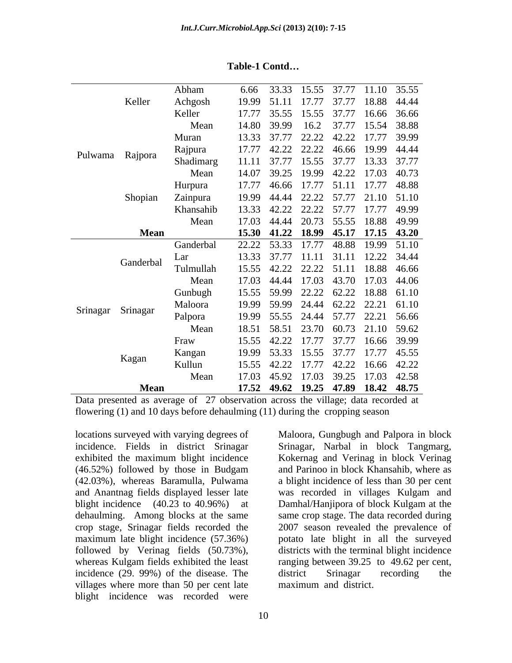|                   |             | Abham     | 6.66 33.33 15.55 37.77 11.10 35.55  |
|-------------------|-------------|-----------|-------------------------------------|
|                   | Keller      | Achgosh   | 19.99 51.11 17.77 37.77 18.88 44.44 |
|                   |             | Keller    | 17.77 35.55 15.55 37.77 16.66 36.66 |
|                   |             | Mean      | 14.80 39.99 16.2 37.77 15.54 38.88  |
|                   |             | Muran     | 13.33 37.77 22.22 42.22 17.77 39.99 |
|                   |             | Rajpura   | 17.77 42.22 22.22 46.66 19.99 44.44 |
| Pulwama Rajpora   |             | Shadimarg | 11.11 37.77 15.55 37.77 13.33 37.77 |
|                   |             | Mean      | 14.07 39.25 19.99 42.22 17.03 40.73 |
|                   |             | Hurpura   | 17.77 46.66 17.77 51.11 17.77 48.88 |
|                   | Shopian     | Zainpura  | 19.99 44.44 22.22 57.77 21.10 51.10 |
|                   |             | Khansahib | 13.33 42.22 22.22 57.77 17.77 49.99 |
|                   |             | Mean      | 17.03 44.44 20.73 55.55 18.88 49.99 |
|                   | <b>Mean</b> |           | 15.30 41.22 18.99 45.17 17.15 43.20 |
|                   |             | Ganderbal | 22.22 53.33 17.77 48.88 19.99 51.10 |
|                   |             | Lar       | 13.33 37.77 11.11 31.11 12.22 34.44 |
|                   | Ganderbal   | Tulmullah | 15.55 42.22 22.22 51.11 18.88 46.66 |
|                   |             | Mean      | 17.03 44.44 17.03 43.70 17.03 44.06 |
|                   |             | Gunbugh   | 15.55 59.99 22.22 62.22 18.88 61.10 |
|                   |             | Maloora   |                                     |
| Srinagar Srinagar |             |           | 19.99 59.99 24.44 62.22 22.21 61.10 |
|                   |             | Palpora   | 19.99 55.55 24.44 57.77 22.21 56.66 |
|                   |             | Mean      | 18.51 58.51 23.70 60.73 21.10 59.62 |
|                   |             | Fraw      | 15.55 42.22 17.77 37.77 16.66 39.99 |
|                   | Kagan       | Kangan    | 19.99 53.33 15.55 37.77 17.77 45.55 |
|                   |             | Kullun    | 15.55 42.22 17.77 42.22 16.66 42.22 |
|                   |             | Mean      | 17.03 45.92 17.03 39.25 17.03 42.58 |
|                   | <b>Mean</b> |           | 17.52 49.62 19.25 47.89 18.42 48.75 |

### **Table-1 Contd**

Data presented as average of 27 observation across the village; data recorded at flowering (1) and 10 days before dehaulming (11) during the cropping season

locations surveyed with varying degrees of Maloora, Gungbugh and Palpora in block incidence. Fields in district Srinagar Srinagar, Narbal in block Tangmarg, exhibited the maximum blight incidence Kokernag and Verinag in block Verinag (46.52%) followed by those in Budgam and Parinoo in block Khansahib, where as (42.03%), whereas Baramulla, Pulwama a blight incidence of less than 30 per cent and Anantnag fields displayed lesser late was recorded in villages Kulgam and blight incidence (40.23 to 40.96%) at Damhal/Hanjipora of block Kulgam at the dehaulming. Among blocks at the same same crop stage. The data recorded during crop stage, Srinagar fields recorded the 2007 season revealed the prevalence of maximum late blight incidence (57.36%) potato late blight in all the surveyed followed by Verinag fields (50.73%), districts with the terminal blight incidence whereas Kulgam fields exhibited the least ranging between 39.25 to 49.62 per cent, incidence (29. 99%) of the disease. The district Srinagar recording the villages where more than 50 per cent late blight incidence was recorded were

district Srinagar recording the maximum and district.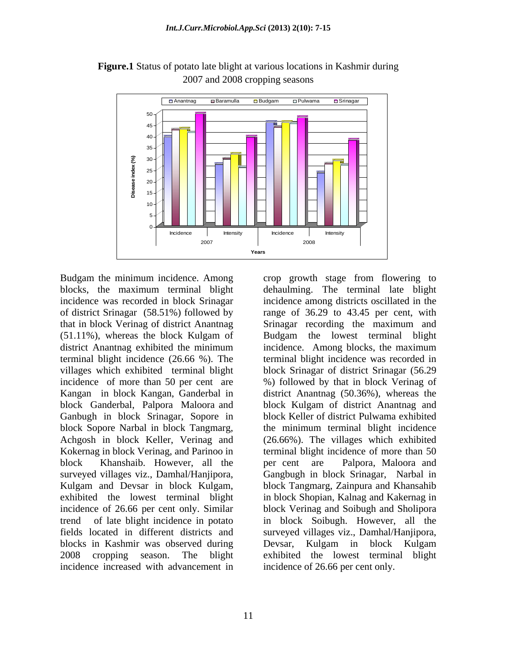

**Figure.1** Status of potato late blight at various locations in Kashmir during 2007 and 2008 cropping seasons

Budgam the minimum incidence. Among crop growth stage from flowering to that in block Verinag of district Anantnag district Anantnag exhibited the minimum incidence. Among blocks, the maximum Ganbugh in block Srinagar, Sopore in block Sopore Narbal in block Tangmarg, block Khanshaib. However, all the blocks in Kashmir was observed during Devsar, Kulgam in block Kulgam incidence increased with advancement in incidence of 26.66 per cent only.

blocks, the maximum terminal blight dehaulming. The terminal late blight incidence was recorded in block Srinagar incidence among districts oscillated in the of district Srinagar (58.51%) followed by range of 36.29 to 43.45 per cent, with (51.11%), whereas the block Kulgam of Budgam the lowest terminal blight terminal blight incidence (26.66 %). The terminal blight incidence was recorded in villages which exhibited terminal blight block Srinagar of district Srinagar (56.29 incidence of more than 50 per cent are %) followed by that in block Verinag of Kangan in block Kangan, Ganderbal in district Anantnag (50.36%), whereas the block Ganderbal, Palpora Maloora and block Kulgam of district Anantnag and Achgosh in block Keller, Verinag and (26.66%). The villages which exhibited Kokernag in block Verinag, and Parinoo in terminal blight incidence of more than 50 surveyed villages viz., Damhal/Hanjipora, Gangbugh in block Srinagar, Narbal in Kulgam and Devsar in block Kulgam, block Tangmarg, Zainpura and Khansahib exhibited the lowest terminal blight in block Shopian, Kalnag and Kakernag in incidence of 26.66 per cent only. Similar block Verinag and Soibugh and Sholipora trend of late blight incidence in potato in block Soibugh. However, all the fields located in different districts and surveyed villages viz., Damhal/Hanjipora, 2008 cropping season. The blight exhibited the lowest terminal blight Srinagar recording the maximum and incidence. Among blocks, the maximum block Keller of district Pulwama exhibited the minimum terminal blight incidence per cent are Palpora, Maloora and Devsar, Kulgam in block Kulgam Franchieve of 19.66 per control in the search of 26.66% per cent of the block Singary incidence and the block Singary incidence and the block Singary reconding distinguists oscillated in the block Singary reconding the max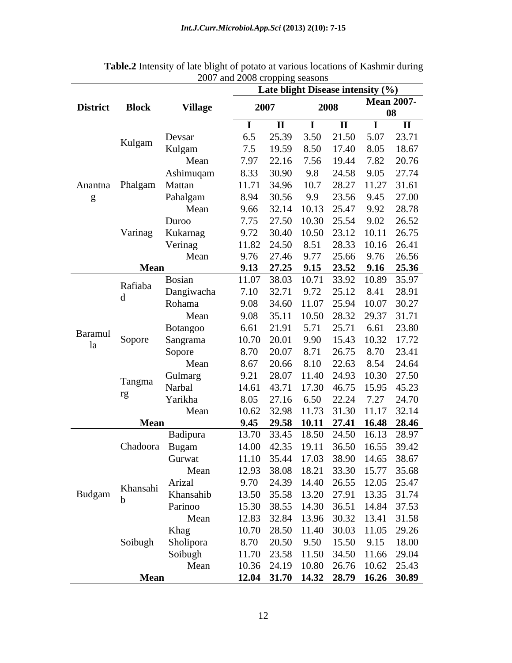|         |                 |                |           |      |              | Late blight Disease intensity (%)   |
|---------|-----------------|----------------|-----------|------|--------------|-------------------------------------|
|         | District Block  | <b>Village</b> | 2007      | 2008 |              | <b>Mean 2007-</b><br>08             |
|         |                 |                |           |      | $\mathbf{I}$ | $\mathbf{H}$                        |
|         |                 | Devsar         | 6.5 25.39 |      |              | 3.50 21.50 5.07 23.71               |
|         | Kulgam          | Kulgam         | 7.5 19.59 |      |              | 8.50 17.40 8.05 18.67               |
|         |                 | Mean           |           |      |              | 7.97 22.16 7.56 19.44 7.82 20.76    |
|         |                 | Ashimuqam      |           |      |              | 8.33 30.90 9.8 24.58 9.05 27.74     |
|         | Anantna Phalgam | Mattan         |           |      |              | 11.71 34.96 10.7 28.27 11.27 31.61  |
|         |                 |                |           |      |              |                                     |
|         |                 | Pahalgam       |           |      |              | 8.94 30.56 9.9 23.56 9.45 27.00     |
|         |                 | Mean           |           |      |              | 9.66 32.14 10.13 25.47 9.92 28.78   |
|         |                 | Duroo          |           |      |              | 7.75 27.50 10.30 25.54 9.02 26.52   |
|         | Varinag         | Kukarnag       |           |      |              | 9.72 30.40 10.50 23.12 10.11 26.75  |
|         |                 | Verinag        |           |      |              | 11.82 24.50 8.51 28.33 10.16 26.41  |
|         |                 | Mean           |           |      |              | 9.76 27.46 9.77 25.66 9.76 26.56    |
|         | Mean            |                |           |      |              | 9.13 27.25 9.15 23.52 9.16 25.36    |
|         | Rafiaba         | Bosian         |           |      |              | 11.07 38.03 10.71 33.92 10.89 35.97 |
|         |                 | Dangiwacha     |           |      |              | 7.10 32.71 9.72 25.12 8.41 28.91    |
|         |                 | Rohama         |           |      |              | 9.08 34.60 11.07 25.94 10.07 30.27  |
|         |                 | Mean           |           |      |              | 9.08 35.11 10.50 28.32 29.37 31.71  |
|         |                 | Botangoo       |           |      |              | 6.61 21.91 5.71 25.71 6.61 23.80    |
| Baramul | Sopore          | Sangrama       |           |      |              | 10.70 20.01 9.90 15.43 10.32 17.72  |
| la      |                 | Sopore         |           |      |              | 8.70 20.07 8.71 26.75 8.70 23.41    |
|         |                 | Mean           |           |      |              | 8.67 20.66 8.10 22.63 8.54 24.64    |
|         |                 | Gulmarg        |           |      |              | 9.21 28.07 11.40 24.93 10.30 27.50  |
|         | Tangma          | Narbal         |           |      |              | 14.61 43.71 17.30 46.75 15.95 45.23 |
|         | rg              |                |           |      |              |                                     |
|         |                 | Yarikha        |           |      |              | 8.05 27.16 6.50 22.24 7.27 24.70    |
|         |                 | Mean           |           |      |              | 10.62 32.98 11.73 31.30 11.17 32.14 |
|         | Mean            |                |           |      |              | 9.45 29.58 10.11 27.41 16.48 28.46  |
|         |                 | Badipura       |           |      |              | 13.70 33.45 18.50 24.50 16.13 28.97 |
|         |                 | Chadoora Bugam |           |      |              | 14.00 42.35 19.11 36.50 16.55 39.42 |
|         |                 | Gurwat         |           |      |              | 11.10 35.44 17.03 38.90 14.65 38.67 |
|         |                 | Mean           |           |      |              | 12.93 38.08 18.21 33.30 15.77 35.68 |
|         | Khansahi        | Arizal         |           |      |              | 9.70 24.39 14.40 26.55 12.05 25.47  |
| Budgam  |                 | Khansahib      |           |      |              | 13.50 35.58 13.20 27.91 13.35 31.74 |
|         |                 | Parinoo        |           |      |              | 15.30 38.55 14.30 36.51 14.84 37.53 |
|         |                 | Mean           |           |      |              | 12.83 32.84 13.96 30.32 13.41 31.58 |
|         |                 | Khag           |           |      |              | 10.70 28.50 11.40 30.03 11.05 29.26 |
|         | Soibugh         | Sholipora      |           |      |              | 8.70 20.50 9.50 15.50 9.15 18.00    |
|         |                 | Soibugh        |           |      |              | 11.70 23.58 11.50 34.50 11.66 29.04 |
|         |                 | Mean           |           |      |              | 10.36 24.19 10.80 26.76 10.62 25.43 |
|         | <b>Mean</b>     |                |           |      |              | 12.04 31.70 14.32 28.79 16.26 30.89 |

| <b>Table.2</b> Intensity of late blight of<br>t of potato at various locations of Kashmir during |  |
|--------------------------------------------------------------------------------------------------|--|
| 2008<br>רחמ<br>s cropping seasons<br>ang zu                                                      |  |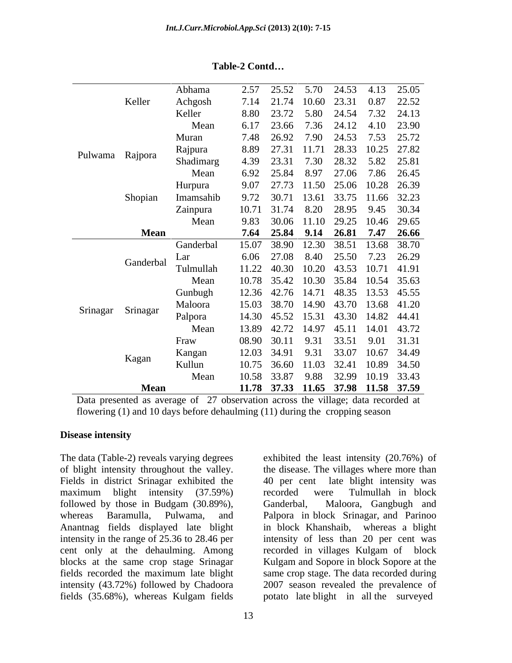|                   | Abhama      | 25.52 5.70 24.53 4.13 25.05<br>2.57   |                         |             |       |
|-------------------|-------------|---------------------------------------|-------------------------|-------------|-------|
| Keller            | Achgosh     | 7.14 21.74 10.60 23.31                |                         | 0.87        | 22.52 |
|                   | Keller      | 23.72 5.80 24.54 7.32 24.13<br>8.80   |                         |             |       |
|                   | Mean        | 6.17 23.66 7.36 24.12 4.10 23.90      |                         |             |       |
|                   | Muran       | 7.48 26.92 7.90 24.53 7.53 25.72      |                         |             |       |
|                   | Rajpura     | 27.31 11.71 28.33 10.25 27.82<br>8.89 |                         |             |       |
| Pulwama Rajpora   | Shadimarg   | 4.39 23.31 7.30 28.32 5.82 25.81      |                         |             |       |
|                   | Mean        | 6.92 25.84                            | 8.97 27.06 7.86 26.45   |             |       |
|                   | Hurpura     | 9.07 27.73 11.50 25.06 10.28 26.39    |                         |             |       |
| Shopian           | Imamsahib   | 9.72 30.71 13.61 33.75 11.66 32.23    |                         |             |       |
|                   | Zainpura    | 10.71 31.74 8.20 28.95 9.45 30.34     |                         |             |       |
|                   | Mean        | 9.83 30.06 11.10 29.25 10.46 29.65    |                         |             |       |
|                   |             |                                       |                         |             |       |
|                   | <b>Mean</b> | 7.64 25.84 9.14 26.81 7.47 26.66      |                         |             |       |
|                   | Ganderbal   | 15.07 38.90 12.30 38.51 13.68 38.70   |                         |             |       |
| Ganderbal         | Lar         | 6.06 27.08 8.40 25.50 7.23 26.29      |                         |             |       |
|                   | Tulmullah   | 11.22 40.30                           | 10.20 43.53 10.71 41.91 |             |       |
|                   | Mean        | 10.78 35.42 10.30 35.84 10.54 35.63   |                         |             |       |
|                   | Gunbugh     | 12.36 42.76 14.71 48.35 13.53 45.55   |                         |             |       |
| Srinagar Srinagar | Maloora     | 15.03 38.70 14.90 43.70 13.68 41.20   |                         |             |       |
|                   | Palpora     | 14.30 45.52 15.31 43.30 14.82 44.41   |                         |             |       |
|                   | Mean        | 13.89 42.72 14.97 45.11 14.01 43.72   |                         |             |       |
|                   | Fraw        | 30.11 9.31<br>08.90                   | 33.51 9.01 31.31        |             |       |
|                   | Kangan      | 12.03 34.91 9.31 33.07                |                         | 10.67 34.49 |       |
| Kagan             | Kullun      | 10.75 36.60 11.03 32.41               |                         | 10.89 34.50 |       |
|                   | Mean        | 10.58 33.87 9.88 32.99 10.19 33.43    |                         |             |       |
| <b>Mean</b>       |             | 11.78 37.33 11.65 37.98 11.58 37.59   |                         |             |       |

**Table-2 Contd**

Data presented as average of 27 observation across the village; data recorded at flowering (1) and 10 days before dehaulming (11) during the cropping season

### **Disease intensity**

The data (Table-2) reveals varying degrees exhibited the least intensity (20.76%) of of blight intensity throughout the valley. the disease. The villages where more than Fields in district Srinagar exhibited the 40 per cent late blight intensity was maximum blight intensity (37.59%) recorded were Tulmullah in block followed by those in Budgam (30.89%), Ganderbal, Maloora, Gangbugh and whereas Baramulla, Pulwama, and Palpora in block Srinagar, and Parinoo Anantnag fields displayed late blight in block Khanshaib, whereas a blight intensity in the range of 25.36 to 28.46 per cent only at the dehaulming. Among recorded in villages Kulgam of block blocks at the same crop stage Srinagar Kulgam and Sopore in block Sopore at the fields recorded the maximum late blight same crop stage. The data recorded during intensity (43.72%) followed by Chadoora 2007 season revealed the prevalence of fields (35.68%), whereas Kulgam fields

intensity of less than 20 per cent was

recorded were Tulmullah in block Ganderbal, Maloora, Gangbugh and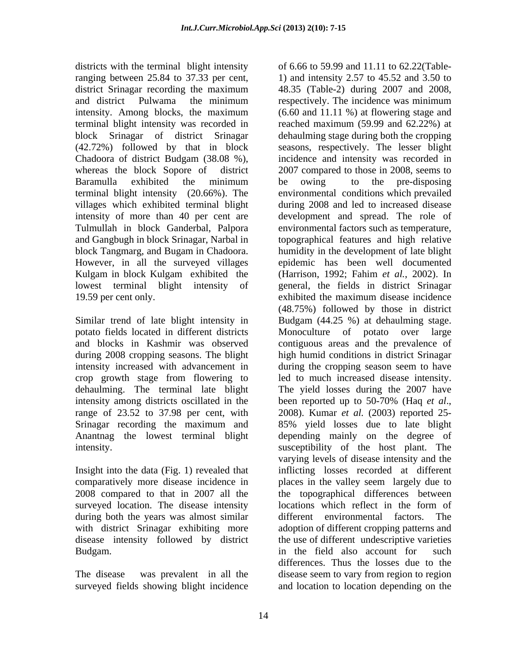districts with the terminal blight intensity and district Pulwama the minimum terminal blight intensity was recorded in terminal blight intensity (20.66%). The 19.59 per cent only. exhibited the maximum disease incidence

intensity increased with advancement in intensity among districts oscillated in the been reported up to 50-70% (Haq et al., range of 23.52 to 37.98 per cent, with 2008). Kumar *et al.* (2003) reported 25-<br>Srinagar recording the maximum and 85% yield losses due to late blight

Insight into the data (Fig. 1) revealed that surveyed location. The disease intensity locations which reflect in the form of during both the years was almost similar all different environmental factors. The disease intensity followed by district

surveyed fields showing blight incidence and location to location depending on the

ranging between 25.84 to 37.33 per cent,  $1)$  and intensity 2.57 to 45.52 and 3.50 to district Srinagar recording the maximum 48.35 (Table-2) during 2007 and 2008, intensity. Among blocks, the maximum (6.60 and 11.11 %) at flowering stage and block Srinagar of district Srinagar dehaulming stage during both the cropping (42.72%) followed by that in block seasons, respectively. The lesser blight Chadoora of district Budgam (38.08 %), incidence and intensity was recorded in whereas the block Sopore of district 2007 compared to those in 2008, seems to Baramulla exhibited the minimum villages which exhibited terminal blight during 2008 and led to increased disease intensity of more than 40 per cent are development and spread. The role of Tulmullah in block Ganderbal, Palpora environmental factors such as temperature, and Gangbugh in block Srinagar, Narbal in topographical features and high relative block Tangmarg, and Bugam in Chadoora. humidity in the development of late blight However, in all the surveyed villages epidemic has been well documented Kulgam in block Kulgam exhibited the (Harrison, 1992; Fahim *et al.*, 2002). In lowest terminal blight intensity of general, the fields in district Srinagar Similar trend of late blight intensity in Budgam (44.25 %) at dehaulming stage. potato fields located in different districts Monoculture of potato over large and blocks in Kashmir was observed contiguous areas and the prevalence of during 2008 cropping seasons. The blight high humid conditions in district Srinagar crop growth stage from flowering to led to much increased disease intensity. dehaulming. The terminal late blight The yield losses during the 2007 have Srinagar recording the maximum and 85% yield losses due to late blight Anantnag the lowest terminal blight depending mainly on the degree of intensity. susceptibility of the host plant. The comparatively more disease incidence in places in the valley seem largely due to 2008 compared to that in 2007 all the topographical differences between with district Srinagar exhibiting more adoption of different cropping patterns and Budgam. in the field also account for such The disease was prevalent in all the disease seem to vary from region to region of 6.66 to 59.99 and 11.11 to 62.22(Table respectively. The incidence was minimum  $(6.60$  and  $11.11$  %) at flowering stage and reached maximum (59.99 and 62.22%) at be owing to the pre-disposing environmental conditions which prevailed exhibited the maximum disease incidence (48.75%) followed by those in district during the cropping season seem to have been reported up to 50-70% (Haq *et al*., 2008). Kumar *et al.* (2003) reported 25 varying levels of disease intensity and the inflicting losses recorded at different locations which reflect in the form of different environmental factors. the use of different undescriptive varieties differences. Thus the losses due to the